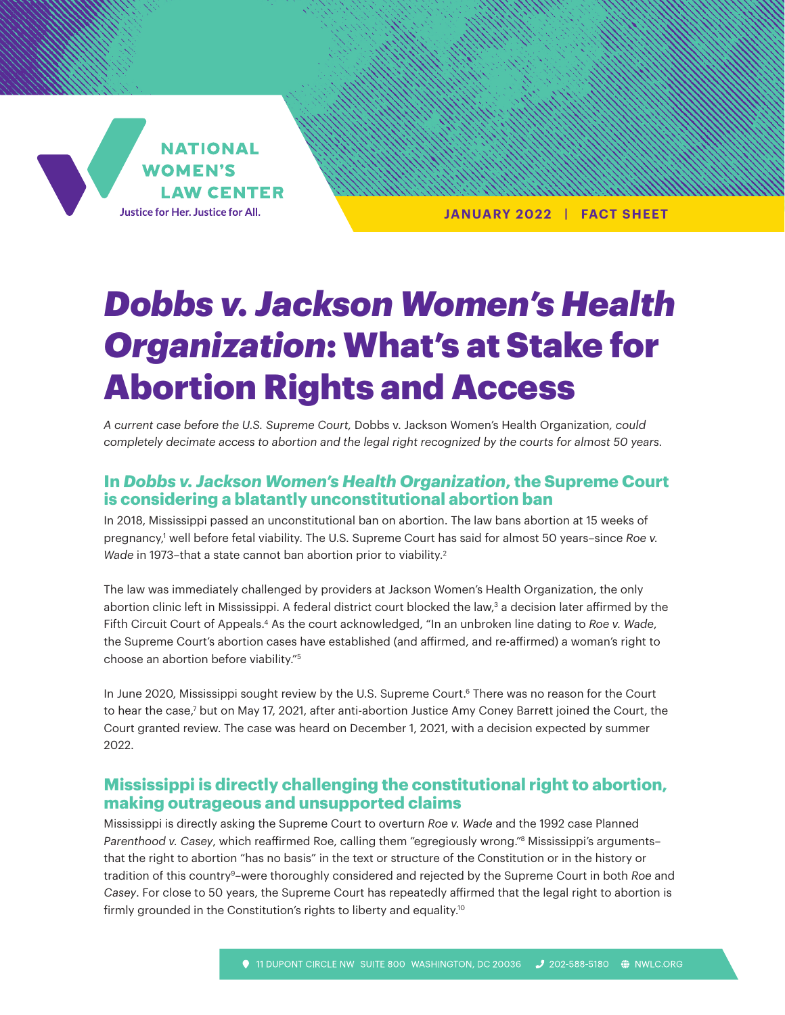

**JANUARY 2022 | FACT SHEET**

# *Dobbs v. Jackson Women's Health Organization*: What's at Stake for Abortion Rights and Access

*A current case before the U.S. Supreme Court,* Dobbs v. Jackson Women's Health Organization*, could completely decimate access to abortion and the legal right recognized by the courts for almost 50 years.* 

### **In** *Dobbs v. Jackson Women's Health Organization***, the Supreme Court is considering a blatantly unconstitutional abortion ban**

In 2018, Mississippi passed an unconstitutional ban on abortion. The law bans abortion at 15 weeks of pregnancy,1 well before fetal viability. The U.S. Supreme Court has said for almost 50 years–since *Roe v.*  Wade in 1973-that a state cannot ban abortion prior to viability.<sup>2</sup>

The law was immediately challenged by providers at Jackson Women's Health Organization, the only abortion clinic left in Mississippi. A federal district court blocked the law,<sup>3</sup> a decision later affirmed by the Fifth Circuit Court of Appeals.4 As the court acknowledged, "In an unbroken line dating to *Roe v. Wade*, the Supreme Court's abortion cases have established (and affirmed, and re-affirmed) a woman's right to choose an abortion before viability."5

In June 2020, Mississippi sought review by the U.S. Supreme Court.<sup>6</sup> There was no reason for the Court to hear the case,7 but on May 17, 2021, after anti-abortion Justice Amy Coney Barrett joined the Court, the Court granted review. The case was heard on December 1, 2021, with a decision expected by summer 2022.

#### **Mississippi is directly challenging the constitutional right to abortion, making outrageous and unsupported claims**

Mississippi is directly asking the Supreme Court to overturn *Roe v. Wade* and the 1992 case Planned *Parenthood v. Casey*, which reaffirmed Roe, calling them "egregiously wrong."8 Mississippi's arguments– that the right to abortion "has no basis" in the text or structure of the Constitution or in the history or tradition of this country9–were thoroughly considered and rejected by the Supreme Court in both *Roe* and *Casey*. For close to 50 years, the Supreme Court has repeatedly affirmed that the legal right to abortion is firmly grounded in the Constitution's rights to liberty and equality.<sup>10</sup>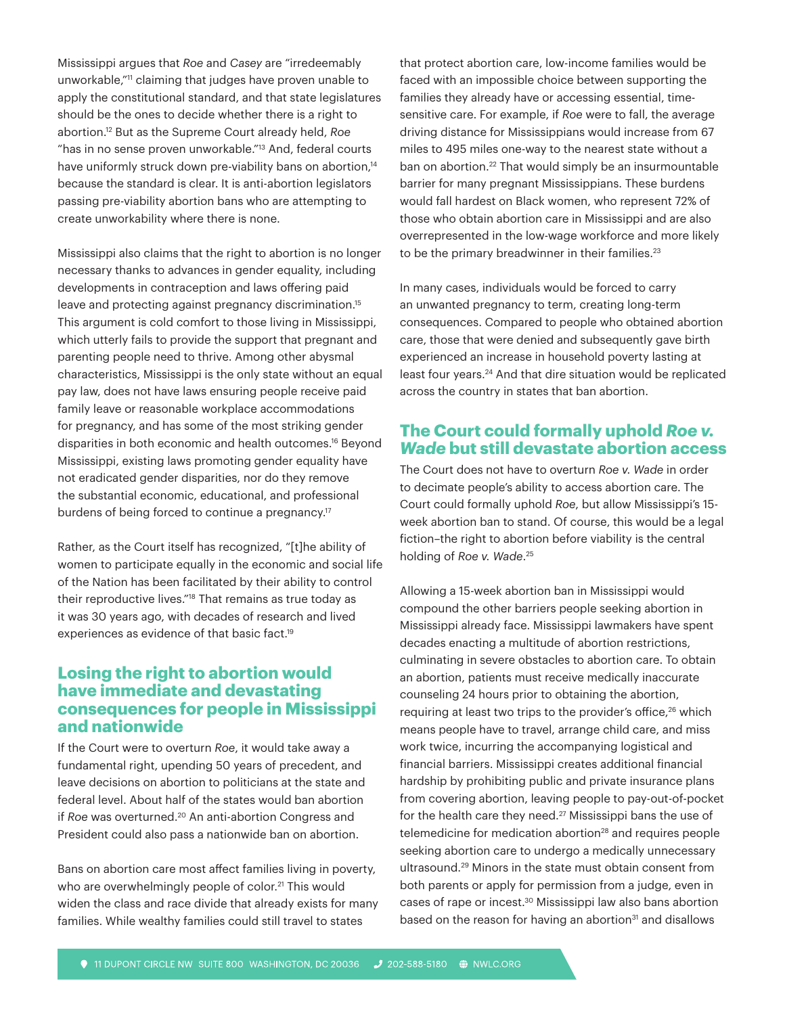Mississippi argues that *Roe* and *Casey* are "irredeemably unworkable,"11 claiming that judges have proven unable to apply the constitutional standard, and that state legislatures should be the ones to decide whether there is a right to abortion.12 But as the Supreme Court already held, *Roe* "has in no sense proven unworkable."13 And, federal courts have uniformly struck down pre-viability bans on abortion,<sup>14</sup> because the standard is clear. It is anti-abortion legislators passing pre-viability abortion bans who are attempting to create unworkability where there is none.

Mississippi also claims that the right to abortion is no longer necessary thanks to advances in gender equality, including developments in contraception and laws offering paid leave and protecting against pregnancy discrimination.<sup>15</sup> This argument is cold comfort to those living in Mississippi, which utterly fails to provide the support that pregnant and parenting people need to thrive. Among other abysmal characteristics, Mississippi is the only state without an equal pay law, does not have laws ensuring people receive paid family leave or reasonable workplace accommodations for pregnancy, and has some of the most striking gender disparities in both economic and health outcomes.16 Beyond Mississippi, existing laws promoting gender equality have not eradicated gender disparities, nor do they remove the substantial economic, educational, and professional burdens of being forced to continue a pregnancy.<sup>17</sup>

Rather, as the Court itself has recognized, "[t]he ability of women to participate equally in the economic and social life of the Nation has been facilitated by their ability to control their reproductive lives."18 That remains as true today as it was 30 years ago, with decades of research and lived experiences as evidence of that basic fact.<sup>19</sup>

### **Losing the right to abortion would have immediate and devastating consequences for people in Mississippi and nationwide**

If the Court were to overturn *Roe*, it would take away a fundamental right, upending 50 years of precedent, and leave decisions on abortion to politicians at the state and federal level. About half of the states would ban abortion if *Roe* was overturned.<sup>20</sup> An anti-abortion Congress and President could also pass a nationwide ban on abortion.

Bans on abortion care most affect families living in poverty, who are overwhelmingly people of color.<sup>21</sup> This would widen the class and race divide that already exists for many families. While wealthy families could still travel to states

that protect abortion care, low-income families would be faced with an impossible choice between supporting the families they already have or accessing essential, timesensitive care. For example, if *Roe* were to fall, the average driving distance for Mississippians would increase from 67 miles to 495 miles one-way to the nearest state without a ban on abortion.<sup>22</sup> That would simply be an insurmountable barrier for many pregnant Mississippians. These burdens would fall hardest on Black women, who represent 72% of those who obtain abortion care in Mississippi and are also overrepresented in the low-wage workforce and more likely to be the primary breadwinner in their families.<sup>23</sup>

In many cases, individuals would be forced to carry an unwanted pregnancy to term, creating long-term consequences. Compared to people who obtained abortion care, those that were denied and subsequently gave birth experienced an increase in household poverty lasting at least four years.24 And that dire situation would be replicated across the country in states that ban abortion.

## **The Court could formally uphold** *Roe v. Wade* **but still devastate abortion access**

The Court does not have to overturn *Roe v. Wade* in order to decimate people's ability to access abortion care. The Court could formally uphold *Roe*, but allow Mississippi's 15 week abortion ban to stand. Of course, this would be a legal fiction–the right to abortion before viability is the central holding of *Roe v. Wade*. 25

Allowing a 15-week abortion ban in Mississippi would compound the other barriers people seeking abortion in Mississippi already face. Mississippi lawmakers have spent decades enacting a multitude of abortion restrictions, culminating in severe obstacles to abortion care. To obtain an abortion, patients must receive medically inaccurate counseling 24 hours prior to obtaining the abortion, requiring at least two trips to the provider's office,<sup>26</sup> which means people have to travel, arrange child care, and miss work twice, incurring the accompanying logistical and financial barriers. Mississippi creates additional financial hardship by prohibiting public and private insurance plans from covering abortion, leaving people to pay-out-of-pocket for the health care they need.<sup>27</sup> Mississippi bans the use of telemedicine for medication abortion<sup>28</sup> and requires people seeking abortion care to undergo a medically unnecessary ultrasound.29 Minors in the state must obtain consent from both parents or apply for permission from a judge, even in cases of rape or incest.<sup>30</sup> Mississippi law also bans abortion based on the reason for having an abortion<sup>31</sup> and disallows